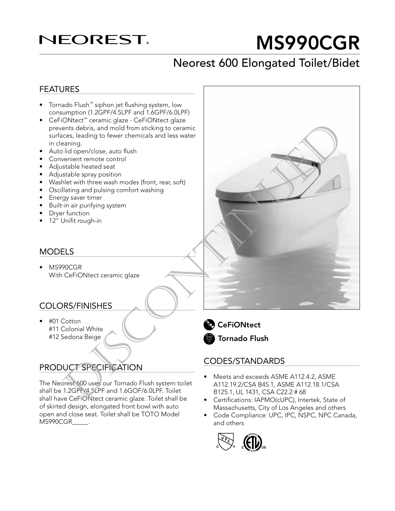## **NEOREST.**

# MS990CGR

## Neorest 600 Elongated Toilet/Bidet

#### FEATURES

- Tornado Flush™ siphon jet flushing system, low consumption (1.2GPF/4.5LPF and 1.6GPF/6.0LPF)
- CeFiONtect™ ceramic glaze CeFiONtect glaze prevents debris, and mold from sticking to ceramic surfaces, leading to fewer chemicals and less water in cleaning. Extractements debris, and mold from stocking acceranic<br>ensisted debris, and mold from stocking to ceramic<br>ensists heated search and the proportions, and the proportion of the proportions and the proportion<br>ensists heated s
- Auto lid open/close, auto flush
- Convenient remote control
- Adjustable heated seat
- Adjustable spray position
- Washlet with three wash modes (front, rear, soft)
- Oscillating and pulsing comfort washing
- Energy saver timer
- Built-in air purifying system
- Dryer function
- 12" Unifit rough-in

#### MODELS

• MS990CGR With CeFiONtect ceramic glaze

#### COLORS/FINISHES

• #01 Cotton #11 Colonial White #12 Sedona Beige

#### PRODUCT SPECIFICATION

The Neorest 600 uses our Tornado Flush system toilet shall be 1.2GPF/4.5LPF and 1.6GOF/6.0LPF. Toilet shall have CeFiONtect ceramic glaze. Toilet shall be of skirted design, elongated front bowl with auto open and close seat. Toilet shall be TOTO Model MS990CGR\_\_\_\_\_.



#### CODES/STANDARDS

- Meets and exceeds ASME A112.4.2, ASME A112.19.2/CSA B45.1, ASME A112.18.1/CSA B125.1, UL 1431, CSA C22.2 # 68
- Certifications: IAPMO(cUPC), Intertek, State of Massachusetts, City of Los Angeles and others
- Code Compliance: UPC, IPC, NSPC, NPC Canada, and others